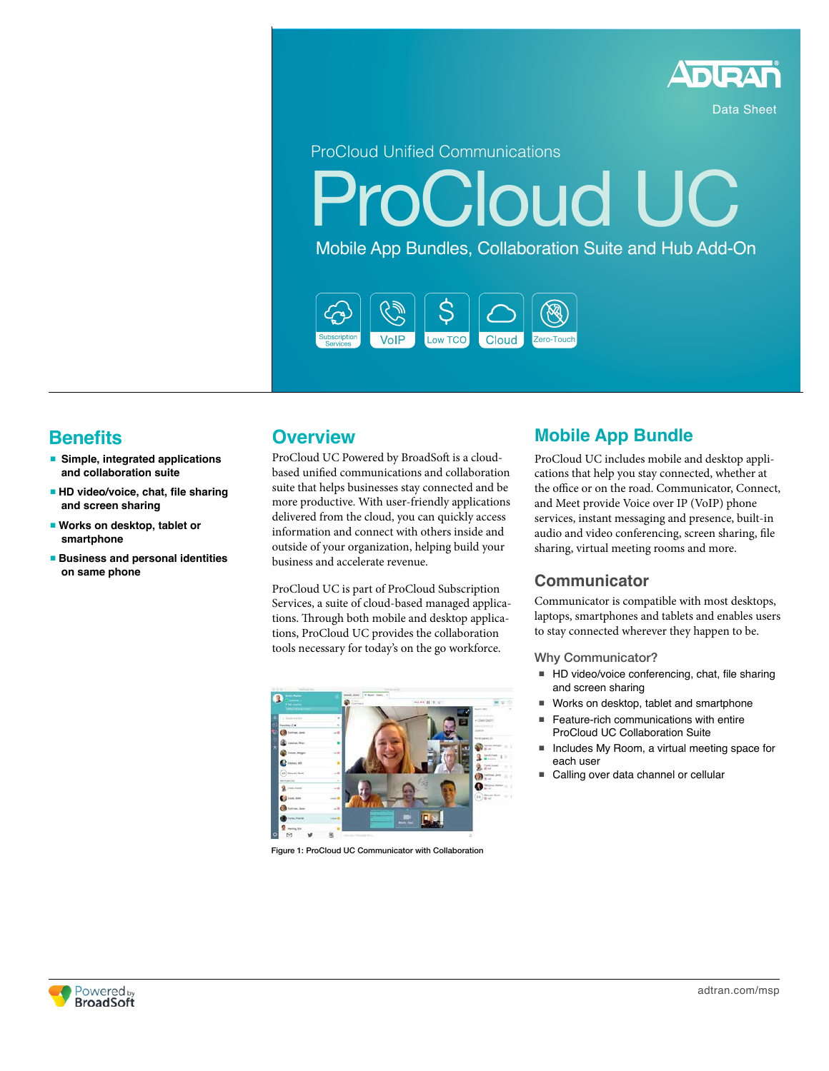

Data Sheet

ProCloud Unified Communications

**ProCloud UC** 

Mobile App Bundles, Collaboration Suite and Hub Add-On



# **Benefits**

- <sup>n</sup> **Simple, integrated applications and collaboration suite**
- $\blacksquare$  **HD video/voice, chat, file sharing and screen sharing**
- Works on desktop, tablet or **smartphone**
- <sup>n</sup> **Business and personal identities on same phone**

## **Overview**

ProCloud UC Powered by BroadSoft is a cloudbased unified communications and collaboration suite that helps businesses stay connected and be more productive. With user-friendly applications delivered from the cloud, you can quickly access information and connect with others inside and outside of your organization, helping build your business and accelerate revenue.

ProCloud UC is part of ProCloud Subscription Services, a suite of cloud-based managed applications. Through both mobile and desktop applications, ProCloud UC provides the collaboration tools necessary for today's on the go workforce.



Figure 1: ProCloud UC Communicator with Collaboration

## **Mobile App Bundle**

ProCloud UC includes mobile and desktop applications that help you stay connected, whether at the office or on the road. Communicator, Connect, and Meet provide Voice over IP (VoIP) phone services, instant messaging and presence, built-in audio and video conferencing, screen sharing, file sharing, virtual meeting rooms and more.

### **Communicator**

Communicator is compatible with most desktops, laptops, smartphones and tablets and enables users to stay connected wherever they happen to be.

#### Why Communicator?

- $\blacksquare$  HD video/voice conferencing, chat, file sharing and screen sharing
- Works on desktop, tablet and smartphone
- Feature-rich communications with entire ProCloud UC Collaboration Suite
- Includes My Room, a virtual meeting space for each user
- Calling over data channel or cellular

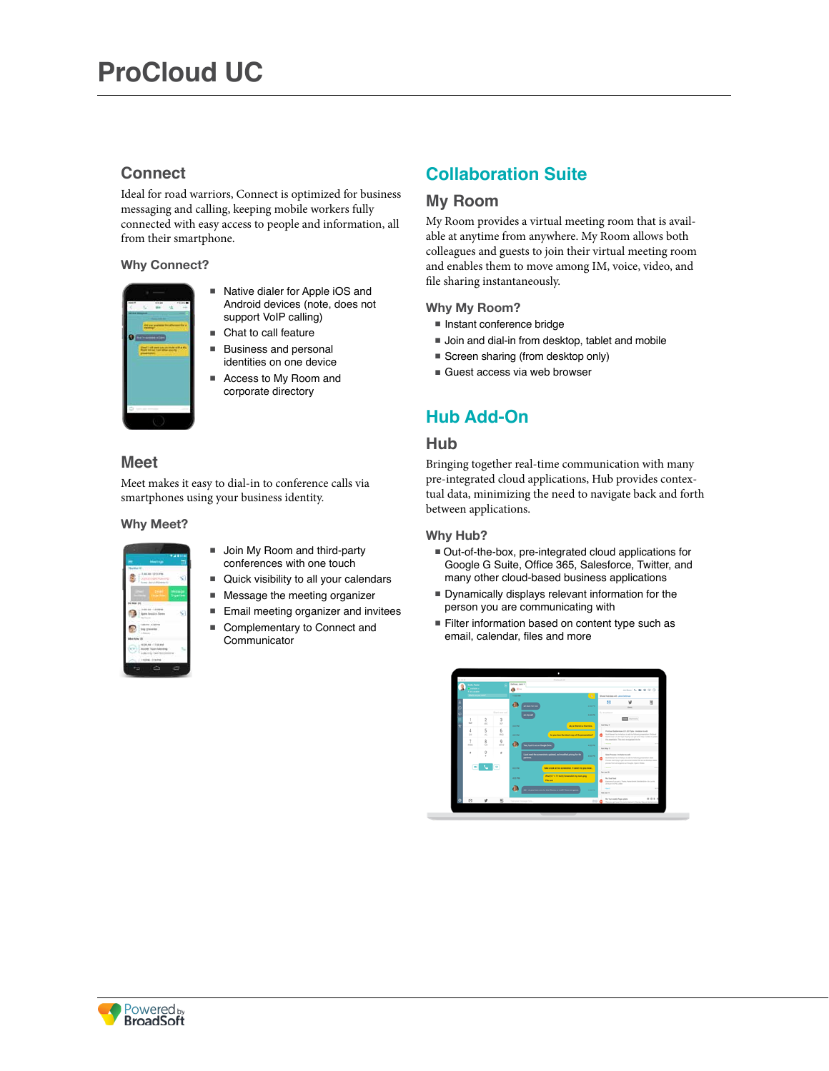### **Connect**

Ideal for road warriors, Connect is optimized for business messaging and calling, keeping mobile workers fully connected with easy access to people and information, all from their smartphone.

#### **Why Connect?**



- Native dialer for Apple iOS and Android devices (note, does not support VoIP calling)
- $\blacksquare$  Chat to call feature
- **Business and personal** identities on one device
- Access to My Room and corporate directory

### **Meet**

Meet makes it easy to dial-in to conference calls via smartphones using your business identity.

#### **Why Meet?**

| <b>Heritage</b><br><b>Business Ed</b>               | <b>WAR15</b>       |
|-----------------------------------------------------|--------------------|
| 11.4634112.31796<br><b><i><u>Commercial</u></i></b> |                    |
| <b>M Mint 24</b>                                    | terause<br>Obarton |
| $+1004$<br>dial Demo<br><b>STARTING</b>             | ψ                  |
| 10070-03070<br>Trip painting<br>1 faces             |                    |
| AND - 11-ISS and -<br>v.n                           | $\mathcal{L}$      |
| 120804-020899                                       | ۰<br>o             |

- Join My Room and third-party conferences with one touch
- Quick visibility to all your calendars
- **Nessage the meeting organizer**
- **Email meeting organizer and invitees**
- Complementary to Connect and Communicator

## **Collaboration Suite**

### **My Room**

My Room provides a virtual meeting room that is available at anytime from anywhere. My Room allows both colleagues and guests to join their virtual meeting room and enables them to move among IM, voice, video, and file sharing instantaneously.

#### **Why My Room?**

- Instant conference bridge
- Join and dial-in from desktop, tablet and mobile
- Screen sharing (from desktop only)
- Guest access via web browser

## **Hub Add-On**

### **Hub**

Bringing together real-time communication with many pre-integrated cloud applications, Hub provides contextual data, minimizing the need to navigate back and forth between applications.

#### **Why Hub?**

- $\blacksquare$  Out-of-the-box, pre-integrated cloud applications for Google G Suite, Office 365, Salesforce, Twitter, and many other cloud-based business applications
- <sup>n</sup> Dynamically displays relevant information for the person you are communicating with
- Filter information based on content type such as email, calendar, files and more

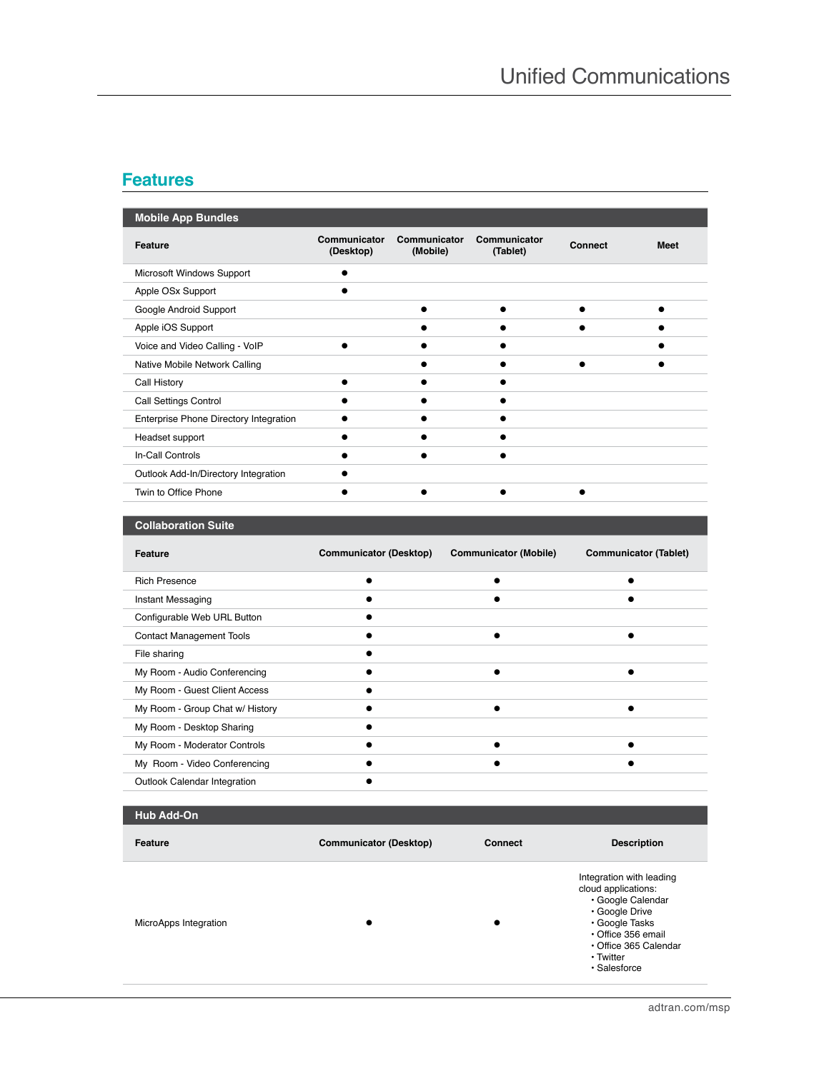## **Features**

| <b>Mobile App Bundles</b>              |                           |                          |                          |         |             |
|----------------------------------------|---------------------------|--------------------------|--------------------------|---------|-------------|
| <b>Feature</b>                         | Communicator<br>(Desktop) | Communicator<br>(Mobile) | Communicator<br>(Tablet) | Connect | <b>Meet</b> |
| Microsoft Windows Support              |                           |                          |                          |         |             |
| Apple OSx Support                      |                           |                          |                          |         |             |
| Google Android Support                 |                           |                          |                          |         |             |
| Apple iOS Support                      |                           |                          |                          |         |             |
| Voice and Video Calling - VoIP         |                           |                          |                          |         |             |
| Native Mobile Network Calling          |                           |                          |                          |         |             |
| Call History                           |                           |                          |                          |         |             |
| <b>Call Settings Control</b>           |                           |                          |                          |         |             |
| Enterprise Phone Directory Integration |                           |                          |                          |         |             |
| Headset support                        |                           |                          |                          |         |             |
| In-Call Controls                       |                           |                          |                          |         |             |
| Outlook Add-In/Directory Integration   |                           |                          |                          |         |             |
| Twin to Office Phone                   |                           |                          |                          |         |             |

| <b>Collaboration Suite</b> |
|----------------------------|
|----------------------------|

| Feature                         | <b>Communicator (Desktop)</b> | <b>Communicator (Mobile)</b> | <b>Communicator (Tablet)</b> |
|---------------------------------|-------------------------------|------------------------------|------------------------------|
| <b>Rich Presence</b>            |                               |                              |                              |
| Instant Messaging               |                               |                              |                              |
| Configurable Web URL Button     |                               |                              |                              |
| <b>Contact Management Tools</b> |                               |                              |                              |
| File sharing                    |                               |                              |                              |
| My Room - Audio Conferencing    |                               |                              |                              |
| My Room - Guest Client Access   |                               |                              |                              |
| My Room - Group Chat w/ History |                               |                              |                              |
| My Room - Desktop Sharing       |                               |                              |                              |
| My Room - Moderator Controls    |                               |                              |                              |
| My Room - Video Conferencing    |                               |                              |                              |
| Outlook Calendar Integration    |                               |                              |                              |

### **Hub Add-On**

| Feature               | <b>Communicator (Desktop)</b> | Connect | <b>Description</b>                                                                                                                                                                       |
|-----------------------|-------------------------------|---------|------------------------------------------------------------------------------------------------------------------------------------------------------------------------------------------|
| MicroApps Integration |                               |         | Integration with leading<br>cloud applications:<br>· Google Calendar<br>• Google Drive<br>· Google Tasks<br>Office 356 email<br>• Office 365 Calendar<br>$\cdot$ Twitter<br>· Salesforce |